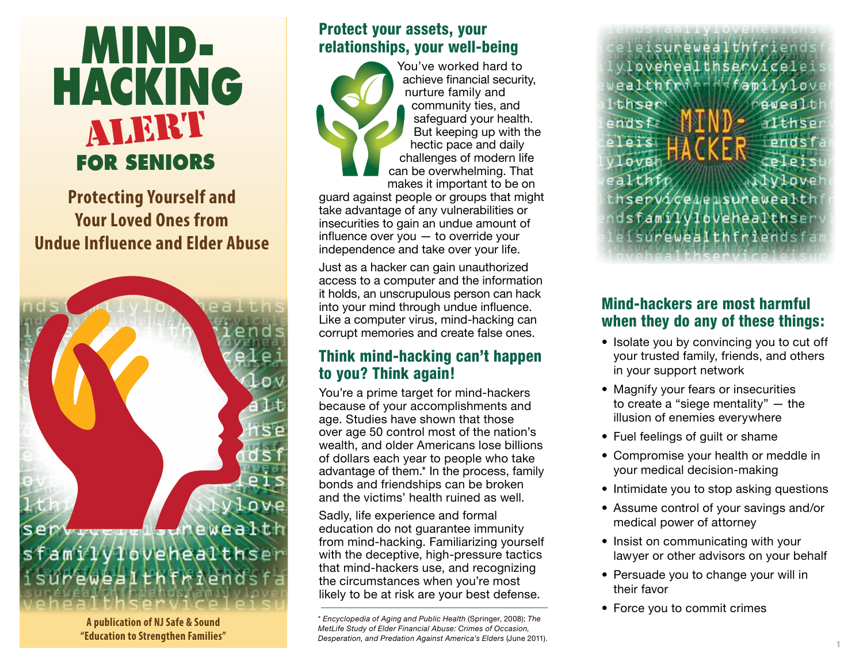# **MIND-HACKING FOR SENIORS** alert

**Protecting Yourself and Your Loved Ones from Undue Influence and Elder Abuse**



**A publication of NJ Safe & Sound "Education to Strengthen Families"**

#### Protect your assets, your relationships, your well-being



You've worked hard to achieve financial security, nurture family and community ties, and safeguard your health. But keeping up with the hectic pace and daily challenges of modern life can be overwhelming. That makes it important to be on

guard against people or groups that might take advantage of any vulnerabilities or insecurities to gain an undue amount of influence over you — to override your independence and take over your life.

Just as a hacker can gain unauthorized access to a computer and the information it holds, an unscrupulous person can hack into your mind through undue influence. Like a computer virus, mind-hacking can corrupt memories and create false ones.

#### Think mind-hacking can't happen to you? Think again!

You're a prime target for mind-hackers because of your accomplishments and age. Studies have shown that those over age 50 control most of the nation's wealth, and older Americans lose billions of dollars each year to people who take advantage of them.\* In the process, family bonds and friendships can be broken and the victims' health ruined as well.

Sadly, life experience and formal education do not guarantee immunity from mind-hacking. Familiarizing yourself with the deceptive, high-pressure tactics that mind-hackers use, and recognizing the circumstances when you're most likely to be at risk are your best defense.

\* *Encyclopedia of Aging and Public Health* (Springer, 2008); *The MetLife Study of Elder Financial Abuse: Crimes of Occasion, Desperation, and Predation Against America's Elders* (June 2011).

eisurewea lovehealthservicele familylow ealthfrid thser ewealt endsfa  $TL$ hse  $p \mid p \mid s$ vlove ealthf **TOAS** thsepviceleisunewealth dsfamilylovehealthser surewealthfriendsfa

### Mind-hackers are most harmful when they do any of these things:

- Isolate you by convincing you to cut off your trusted family, friends, and others in your support network
- Magnify your fears or insecurities to create a "siege mentality" — the illusion of enemies everywhere
- Fuel feelings of guilt or shame
- Compromise your health or meddle in your medical decision-making
- Intimidate you to stop asking questions
- Assume control of your savings and/or medical power of attorney
- Insist on communicating with your lawyer or other advisors on your behalf
- Persuade you to change your will in their favor
- Force you to commit crimes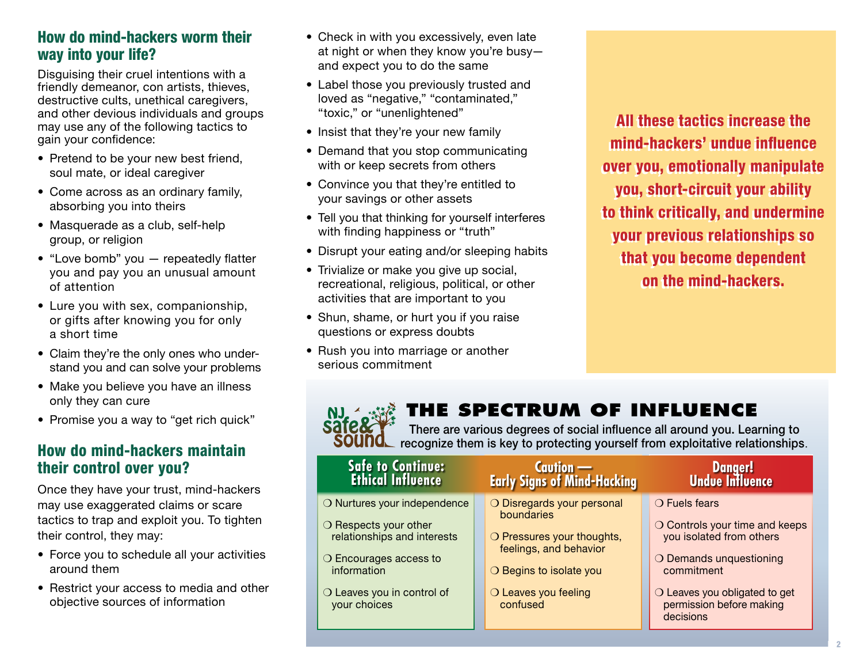#### How do mind-hackers worm their way into your life?

Disguising their cruel intentions with a friendly demeanor, con artists, thieves, destructive cults, unethical caregivers, and other devious individuals and groups may use any of the following tactics to gain your confidence:

- Pretend to be your new best friend, soul mate, or ideal caregiver
- Come across as an ordinary family, absorbing you into theirs
- Masquerade as a club, self-help group, or religion
- "Love bomb" you repeatedly flatter you and pay you an unusual amount of attention
- Lure you with sex, companionship, or gifts after knowing you for only a short time
- Claim they're the only ones who understand you and can solve your problems
- Make you believe you have an illness only they can cure
- Promise you a way to "get rich quick"

#### How do mind-hackers maintain their control over you?

Once they have your trust, mind-hackers may use exaggerated claims or scare tactics to trap and exploit you. To tighten their control, they may:

- Force you to schedule all your activities around them
- Restrict your access to media and other objective sources of information
- Check in with you excessively, even late at night or when they know you're busy and expect you to do the same
- Label those you previously trusted and loved as "negative," "contaminated," "toxic," or "unenlightened"
- Insist that they're your new family
- Demand that you stop communicating with or keep secrets from others
- Convince you that they're entitled to your savings or other assets
- Tell you that thinking for yourself interferes with finding happiness or "truth"
- Disrupt your eating and/or sleeping habits
- Trivialize or make you give up social, recreational, religious, political, or other activities that are important to you
- Shun, shame, or hurt you if you raise questions or express doubts
- Rush you into marriage or another serious commitment

**Sate** 

All these tactics increase the All these tactics increase the mind-hackers' undue influence mind-hackers' undue influence over you, emotionally manipulate over you, emotionally manipulate you, short-circuit your ability you, short-circuit your ability to think critically, and undermine to think critically, and undermine your previous relationships so your previous relationships so that you become dependent that you become dependent on the mind-hackers. on the mind-hackers.

## **The Spectrum of Influence**

There are various degrees of social influence all around you. Learning to recognize them is key to protecting yourself from exploitative relationships.

| <b>Safe to Continue:</b><br><b>Ethical Influence</b>                                                                                                                                          | <b>Caution —</b><br>Early Signs of Mind-Hacking                                                                                                                 | Danger!<br>Undue Influence                                                                                                                                                                              |
|-----------------------------------------------------------------------------------------------------------------------------------------------------------------------------------------------|-----------------------------------------------------------------------------------------------------------------------------------------------------------------|---------------------------------------------------------------------------------------------------------------------------------------------------------------------------------------------------------|
| O Nurtures your independence<br>$\bigcirc$ Respects your other<br>relationships and interests<br>$\bigcirc$ Encourages access to<br>information<br>O Leaves you in control of<br>your choices | O Disregards your personal<br>boundaries<br>O Pressures your thoughts,<br>feelings, and behavior<br>O Begins to isolate you<br>O Leaves you feeling<br>confused | $\bigcirc$ Fuels fears<br>O Controls your time and keeps<br>you isolated from others<br>O Demands unquestioning<br>commitment<br>O Leaves you obligated to get<br>permission before making<br>decisions |